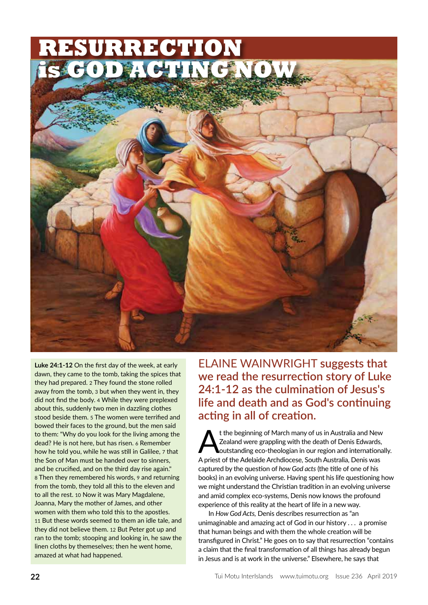

**Luke 24:1-12** On the first day of the week, at early dawn, they came to the tomb, taking the spices that they had prepared. 2 They found the stone rolled away from the tomb, 3 but when they went in, they did not find the body. 4 While they were preplexed about this, suddenly two men in dazzling clothes stood beside them. 5 The women were terrified and bowed their faces to the ground, but the men said to them: "Why do you look for the living among the dead? He is not here, but has risen. 6 Remember how he told you, while he was still in Galilee, 7 that the Son of Man must be handed over to sinners, and be crucified, and on the third day rise again." 8 Then they remembered his words, 9 and returning from the tomb, they told all this to the eleven and to all the rest. 10 Now it was Mary Magdalene, Joanna, Mary the mother of James, and other women with them who told this to the apostles. 11 But these words seemed to them an idle tale, and they did not believe them. 12 But Peter got up and ran to the tomb; stooping and looking in, he saw the linen cloths by themeselves; then he went home, amazed at what had happened.

ELAINE WAINWRIGHT **suggests that we read the resurrection story of Luke 24:1-12 as the culmination of Jesus's life and death and as God's continuing acting in all of creation.**

t the beginning of March many of us in Australia and New Zealand were grappling with the death of Denis Edwards, outstanding eco-theologian in our region and internationally. A priest of the Adelaide Archdiocese, South Australia, Denis was captured by the question of *how God acts* (the title of one of his books) in an evolving universe. Having spent his life questioning how we might understand the Christian tradition in an evolving universe and amid complex eco-systems, Denis now knows the profound experience of this reality at the heart of life in a new way.

In *How God Acts,* Denis describes resurrection as "an unimaginable and amazing act of God in our history . . . a promise that human beings and with them the whole creation will be transfigured in Christ." He goes on to say that resurrection "contains a claim that the final transformation of all things has already begun in Jesus and is at work in the universe." Elsewhere, he says that